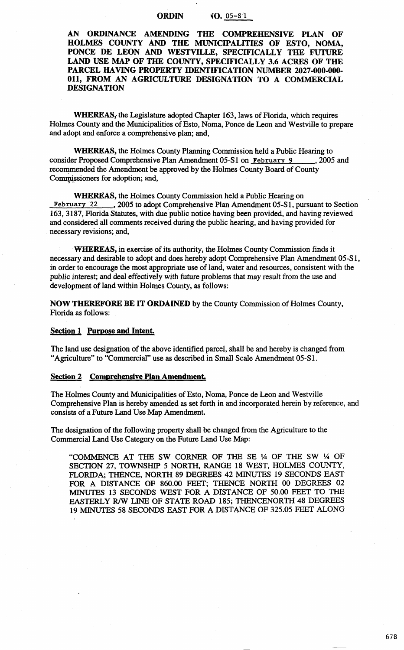## ORDIN  $\sqrt{0.05-8.1}$

AN ORDINANCE AMENDING THE COMPREHENSIVE PLAN OF HOLMES COUNTY AND THE MUNICIPALITIES OF ESTO, NOMA, PONCE DE LEON AND WESTVILLE, SPECIFICALLY THE FUTURE LAND USE MAP OF THE COUNTY, SPECIFICALLY 3.6 ACRES OF THE PARCEL HAVING PROPERTY IDENTIFICATION NUMBER 2027-000-000-011, FROM AN AGRICULTURE DESIGNATION TO A COMMERCIAL DESIGNATION

WHEREAS, the Legislature adopted Chapter 163, laws of Florida, which requires Holmes County and the Municipalities of Esto, Noma, Ponce de Leon and Westville to prepare and adopt and enforce a comprehensive plan; and,

WHEREAS, the Holmes County Planning Commission held a Public Hearing to consider Proposed Comprehensive Plan Amendment 05-S1 on February 9 , 2005 and recommended the Amendment be approved by the Holmes County Board of County Commissioners for adoption; and,

WHEREAS, the Holmes County Commission held a Public Hearing on February 22 . 2005 to adopt Comprehensive Plan Amendment 05-S1, pu n, 2005 to adopt Comprehensive Plan Amendment 05-S1, pursuant to Section 163, 3187, Florida Statutes, with due public notice having been provided, and having reviewed and considered all comments received during the public hearing, and having provided for necessary revisions; and,

·WHEREAS, in exercise of its authority, the Holmes County Commission finds it necessary and desirable to adopt and does hereby adopt Comprehensive Plan Amendment 05-S 1, in order to encourage the most appropriate use of land, water and resources, consistent with the public interest; and deal effectively with future problems that may result from the use and development of land within Holmes County, as follows:

NOW THEREFORE BE IT ORDAINED by the County Commission of Holmes County, Florida as follows:

### Section 1 Purpose and Intent.

The land use designation of the above identified parcel, shall be and hereby is changed from "Agriculture" to "Commercial" use as described in Small Scale Amendment 05-Sl.

#### Section 2 Comprehensive Plan Amendment.

The Holmes County and Municipalities of Esto, Noma, Ponce de Leon and Westville Comprehensive Plan is hereby amended as set forth in and incorporated herein by reference, and consists of a Future Land Use Map Amendment.

The designation of the following property shall be changed from the Agriculture to the Commercial Land Use Category on the Future Land Use Map:

"COMMENCE AT THE SW CORNER OF THE SE 1A OF THE SW 1A OF SECTION 27, TOWNSHIP 5 NORTH, RANGE 18 WEST, HOLMES COUNTY, FLORIDA; THENCE, NORTH 89 DEGREES 42 MINUTES 19 SECONDS EAST FOR A DISTANCE OF 860.00 FEET; THENCE NORTH 00 DEGREES 02 MINUTES 13 SECONDS WEST FOR A DISTANCE OF 50.00 FEET TO THE EASTERLY R/W LINE OF STATE ROAD 185; THENCENORTH 48 DEGREES 19 MINUTES 58 SECONDS EAST FOR A DISTANCE OF 325.05 FEET ALONG